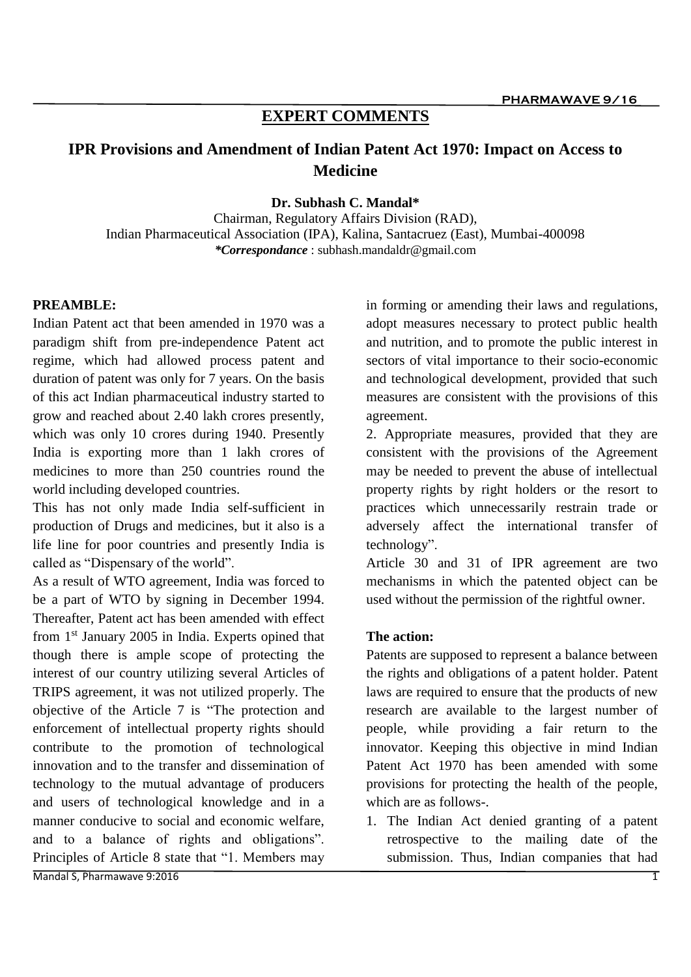## **EXPERT COMMENTS**

# **IPR Provisions and Amendment of Indian Patent Act 1970: Impact on Access to Medicine**

**Dr. Subhash C. Mandal\***

Chairman, Regulatory Affairs Division (RAD), Indian Pharmaceutical Association (IPA), Kalina, Santacruez (East), Mumbai-400098 *\*Correspondance* : subhash.mandaldr@gmail.com

## **PREAMBLE:**

Indian Patent act that been amended in 1970 was a paradigm shift from pre-independence Patent act regime, which had allowed process patent and duration of patent was only for 7 years. On the basis of this act Indian pharmaceutical industry started to grow and reached about 2.40 lakh crores presently, which was only 10 crores during 1940. Presently India is exporting more than 1 lakh crores of medicines to more than 250 countries round the world including developed countries.

This has not only made India self-sufficient in production of Drugs and medicines, but it also is a life line for poor countries and presently India is called as "Dispensary of the world".

As a result of WTO agreement, India was forced to be a part of WTO by signing in December 1994. Thereafter, Patent act has been amended with effect from 1<sup>st</sup> January 2005 in India. Experts opined that though there is ample scope of protecting the interest of our country utilizing several Articles of TRIPS agreement, it was not utilized properly. The objective of the Article 7 is "The protection and enforcement of intellectual property rights should contribute to the promotion of technological innovation and to the transfer and dissemination of technology to the mutual advantage of producers and users of technological knowledge and in a manner conducive to social and economic welfare, and to a balance of rights and obligations". Principles of Article 8 state that "1. Members may

in forming or amending their laws and regulations, adopt measures necessary to protect public health and nutrition, and to promote the public interest in sectors of vital importance to their socio-economic and technological development, provided that such measures are consistent with the provisions of this agreement.

2. Appropriate measures, provided that they are consistent with the provisions of the Agreement may be needed to prevent the abuse of intellectual property rights by right holders or the resort to practices which unnecessarily restrain trade or adversely affect the international transfer of technology".

Article 30 and 31 of IPR agreement are two mechanisms in which the patented object can be used without the permission of the rightful owner.

#### **The action:**

Patents are supposed to represent a balance between the rights and obligations of a patent holder. Patent laws are required to ensure that the products of new research are available to the largest number of people, while providing a fair return to the innovator. Keeping this objective in mind Indian Patent Act 1970 has been amended with some provisions for protecting the health of the people, which are as follows-.

1. The Indian Act denied granting of a patent retrospective to the mailing date of the submission. Thus, Indian companies that had

Mandal S, Pharmawave 9:20161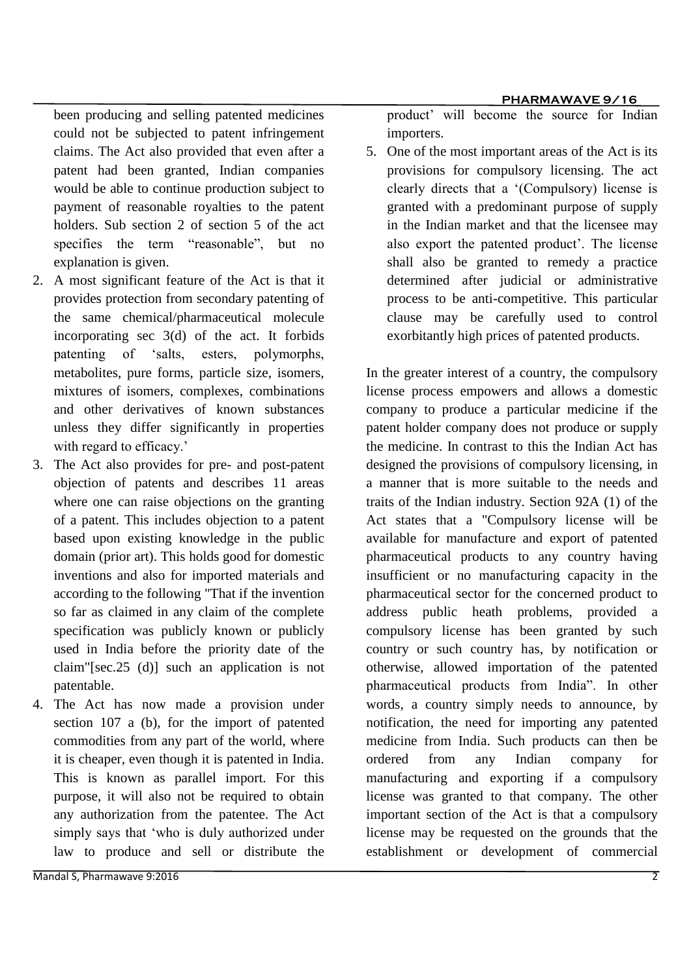been producing and selling patented medicines could not be subjected to patent infringement claims. The Act also provided that even after a patent had been granted, Indian companies would be able to continue production subject to payment of reasonable royalties to the patent holders. Sub section 2 of section 5 of the act specifies the term "reasonable", but no explanation is given.

- 2. A most significant feature of the Act is that it provides protection from secondary patenting of the same chemical/pharmaceutical molecule incorporating sec 3(d) of the act. It forbids patenting of 'salts, esters, polymorphs, metabolites, pure forms, particle size, isomers, mixtures of isomers, complexes, combinations and other derivatives of known substances unless they differ significantly in properties with regard to efficacy.'
- 3. The Act also provides for pre- and post-patent objection of patents and describes 11 areas where one can raise objections on the granting of a patent. This includes objection to a patent based upon existing knowledge in the public domain (prior art). This holds good for domestic inventions and also for imported materials and according to the following "That if the invention so far as claimed in any claim of the complete specification was publicly known or publicly used in India before the priority date of the claim"[sec.25 (d)] such an application is not patentable.
- 4. The Act has now made a provision under section 107 a (b), for the import of patented commodities from any part of the world, where it is cheaper, even though it is patented in India. This is known as parallel import. For this purpose, it will also not be required to obtain any authorization from the patentee. The Act simply says that 'who is duly authorized under law to produce and sell or distribute the

product' will become the source for Indian importers.

5. One of the most important areas of the Act is its provisions for compulsory licensing. The act clearly directs that a '(Compulsory) license is granted with a predominant purpose of supply in the Indian market and that the licensee may also export the patented product'. The license shall also be granted to remedy a practice determined after judicial or administrative process to be anti-competitive. This particular clause may be carefully used to control exorbitantly high prices of patented products.

In the greater interest of a country, the compulsory license process empowers and allows a domestic company to produce a particular medicine if the patent holder company does not produce or supply the medicine. In contrast to this the Indian Act has designed the provisions of compulsory licensing, in a manner that is more suitable to the needs and traits of the Indian industry. Section 92A (1) of the Act states that a "Compulsory license will be available for manufacture and export of patented pharmaceutical products to any country having insufficient or no manufacturing capacity in the pharmaceutical sector for the concerned product to address public heath problems, provided a compulsory license has been granted by such country or such country has, by notification or otherwise, allowed importation of the patented pharmaceutical products from India". In other words, a country simply needs to announce, by notification, the need for importing any patented medicine from India. Such products can then be ordered from any Indian company for manufacturing and exporting if a compulsory license was granted to that company. The other important section of the Act is that a compulsory license may be requested on the grounds that the establishment or development of commercial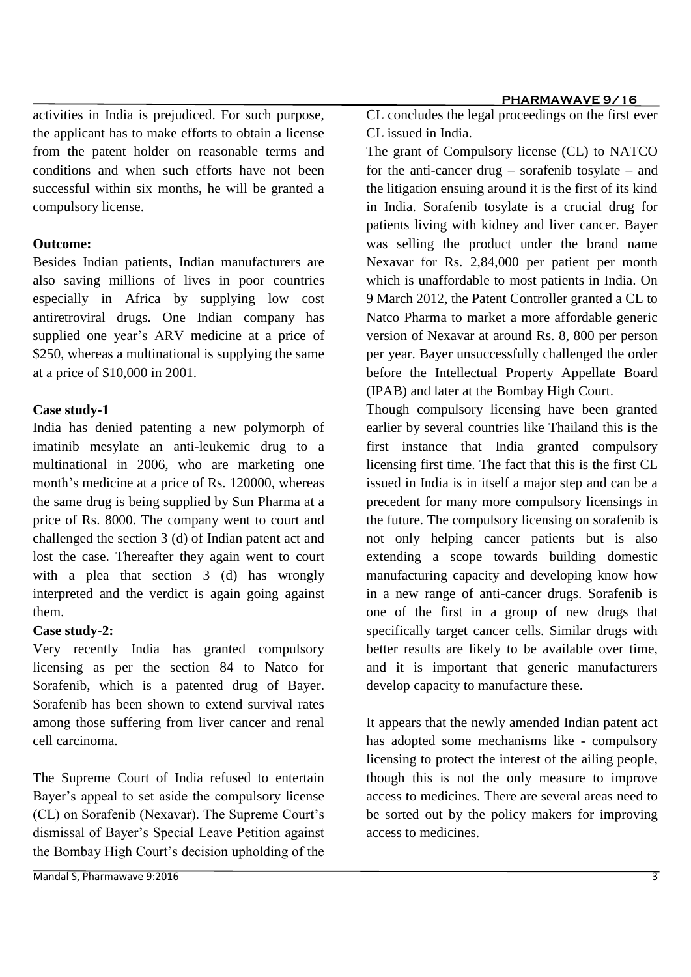#### **PHARMAWAVE 9/16**

activities in India is prejudiced. For such purpose, the applicant has to make efforts to obtain a license from the patent holder on reasonable terms and conditions and when such efforts have not been successful within six months, he will be granted a compulsory license.

## **Outcome:**

Besides Indian patients, Indian manufacturers are also saving millions of lives in poor countries especially in Africa by supplying low cost antiretroviral drugs. One Indian company has supplied one year's ARV medicine at a price of \$250, whereas a multinational is supplying the same at a price of \$10,000 in 2001.

## **Case study-1**

India has denied patenting a new polymorph of imatinib mesylate an anti-leukemic drug to a multinational in 2006, who are marketing one month's medicine at a price of Rs. 120000, whereas the same drug is being supplied by Sun Pharma at a price of Rs. 8000. The company went to court and challenged the section 3 (d) of Indian patent act and lost the case. Thereafter they again went to court with a plea that section 3 (d) has wrongly interpreted and the verdict is again going against them.

#### **Case study-2:**

Very recently India has granted compulsory licensing as per the section 84 to Natco for Sorafenib, which is a patented drug of Bayer. Sorafenib has been shown to extend survival rates among those suffering from liver cancer and renal cell carcinoma.

The Supreme Court of India refused to entertain Bayer's appeal to set aside the compulsory license (CL) on Sorafenib (Nexavar). The Supreme Court's dismissal of Bayer's Special Leave Petition against the Bombay High Court's decision upholding of the

The grant of Compulsory license (CL) to NATCO for the anti-cancer drug – sorafenib tosylate – and the litigation ensuing around it is the first of its kind in India. Sorafenib tosylate is a crucial drug for patients living with kidney and liver cancer. Bayer was selling the product under the brand name Nexavar for Rs. 2,84,000 per patient per month which is unaffordable to most patients in India. On 9 March 2012, the Patent Controller granted a CL to Natco Pharma to market a more affordable generic version of Nexavar at around Rs. 8, 800 per person per year. Bayer unsuccessfully challenged the order before the Intellectual Property Appellate Board (IPAB) and later at the Bombay High Court.

Though compulsory licensing have been granted earlier by several countries like Thailand this is the first instance that India granted compulsory licensing first time. The fact that this is the first CL issued in India is in itself a major step and can be a precedent for many more compulsory licensings in the future. The compulsory licensing on sorafenib is not only helping cancer patients but is also extending a scope towards building domestic manufacturing capacity and developing know how in a new range of anti-cancer drugs. Sorafenib is one of the first in a group of new drugs that specifically target cancer cells. Similar drugs with better results are likely to be available over time, and it is important that generic manufacturers develop capacity to manufacture these.

It appears that the newly amended Indian patent act has adopted some mechanisms like - compulsory licensing to protect the interest of the ailing people, though this is not the only measure to improve access to medicines. There are several areas need to be sorted out by the policy makers for improving access to medicines.